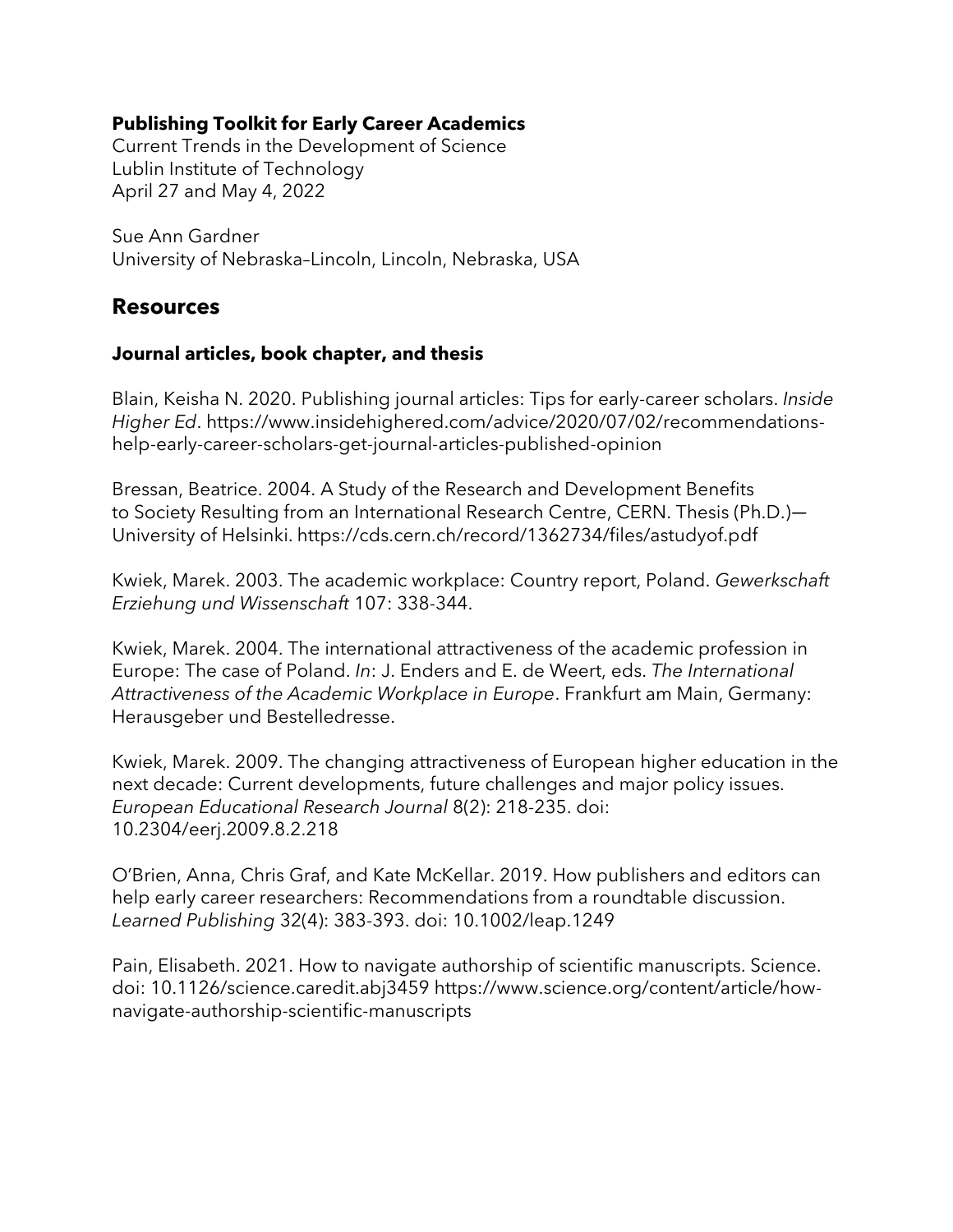# **Publishing Toolkit for Early Career Academics**

Current Trends in the Development of Science Lublin Institute of Technology April 27 and May 4, 2022

Sue Ann Gardner University of Nebraska–Lincoln, Lincoln, Nebraska, USA

# **Resources**

### **Journal articles, book chapter, and thesis**

Blain, Keisha N. 2020. Publishing journal articles: Tips for early-career scholars. *Inside Higher Ed*. https://www.insidehighered.com/advice/2020/07/02/recommendationshelp-early-career-scholars-get-journal-articles-published-opinion

Bressan, Beatrice. 2004. A Study of the Research and Development Benefits to Society Resulting from an International Research Centre, CERN. Thesis (Ph.D.)— University of Helsinki. https://cds.cern.ch/record/1362734/files/astudyof.pdf

Kwiek, Marek. 2003. The academic workplace: Country report, Poland. *Gewerkschaft Erziehung und Wissenschaft* 107: 338-344.

Kwiek, Marek. 2004. The international attractiveness of the academic profession in Europe: The case of Poland. *In*: J. Enders and E. de Weert, eds. *The International Attractiveness of the Academic Workplace in Europe*. Frankfurt am Main, Germany: Herausgeber und Bestelledresse.

Kwiek, Marek. 2009. The changing attractiveness of European higher education in the next decade: Current developments, future challenges and major policy issues. *European Educational Research Journal* 8(2): 218-235. doi: 10.2304/eerj.2009.8.2.218

O'Brien, Anna, Chris Graf, and Kate McKellar. 2019. How publishers and editors can help early career researchers: Recommendations from a roundtable discussion. *Learned Publishing* 32(4): 383-393. doi: 10.1002/leap.1249

Pain, Elisabeth. 2021. How to navigate authorship of scientific manuscripts. Science. doi: 10.1126/science.caredit.abj3459 https://www.science.org/content/article/hownavigate-authorship-scientific-manuscripts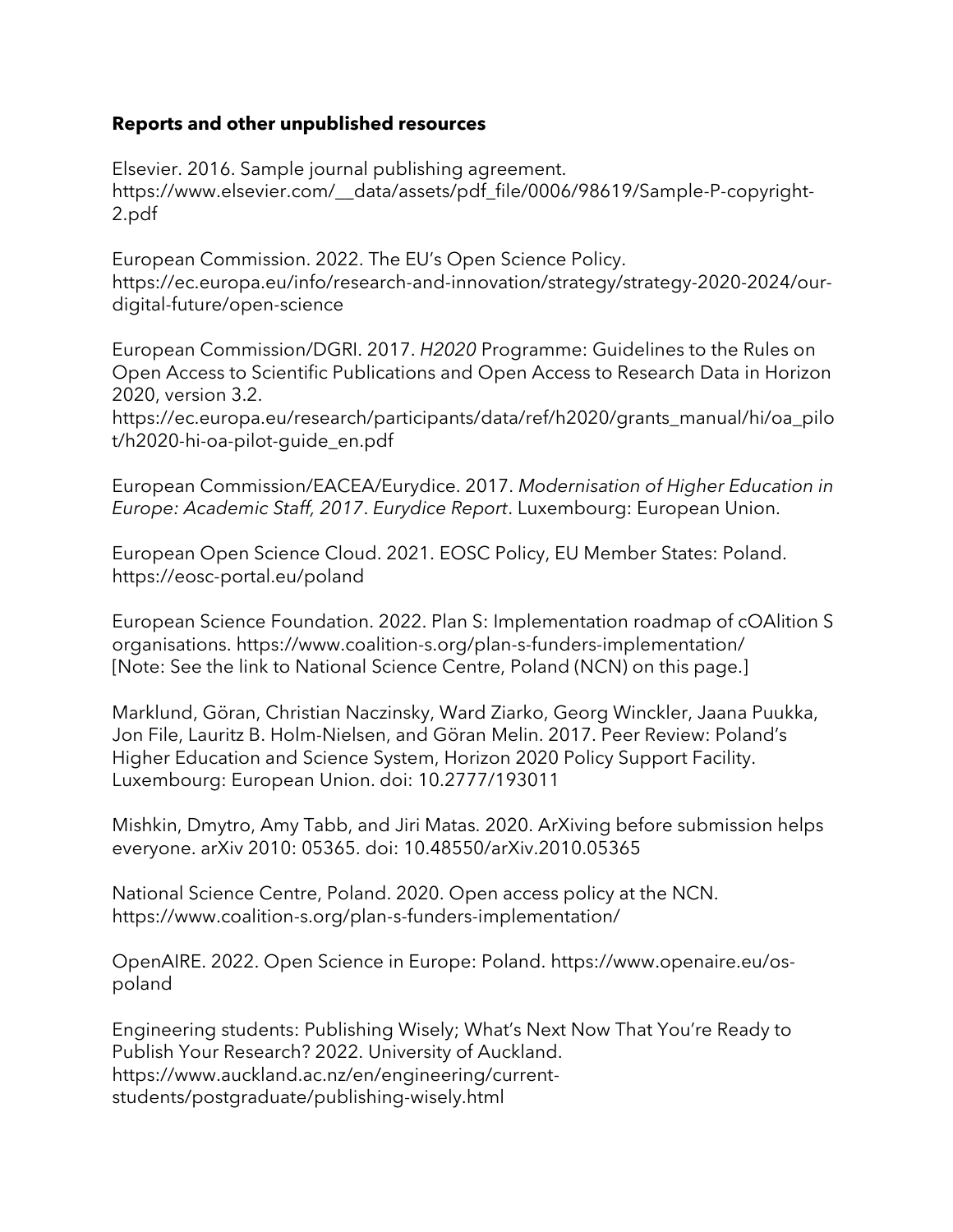#### **Reports and other unpublished resources**

Elsevier. 2016. Sample journal publishing agreement. https://www.elsevier.com/\_\_data/assets/pdf\_file/0006/98619/Sample-P-copyright-2.pdf

European Commission. 2022. The EU's Open Science Policy. https://ec.europa.eu/info/research-and-innovation/strategy/strategy-2020-2024/ourdigital-future/open-science

European Commission/DGRI. 2017. *H2020* Programme: Guidelines to the Rules on Open Access to Scientific Publications and Open Access to Research Data in Horizon 2020, version 3.2.

https://ec.europa.eu/research/participants/data/ref/h2020/grants\_manual/hi/oa\_pilo t/h2020-hi-oa-pilot-guide\_en.pdf

European Commission/EACEA/Eurydice. 2017. *Modernisation of Higher Education in Europe: Academic Staff, 2017*. *Eurydice Report*. Luxembourg: European Union.

European Open Science Cloud. 2021. EOSC Policy, EU Member States: Poland. https://eosc-portal.eu/poland

European Science Foundation. 2022. Plan S: Implementation roadmap of cOAlition S organisations. https://www.coalition-s.org/plan-s-funders-implementation/ [Note: See the link to National Science Centre, Poland (NCN) on this page.]

Marklund, Göran, Christian Naczinsky, Ward Ziarko, Georg Winckler, Jaana Puukka, Jon File, Lauritz B. Holm-Nielsen, and Göran Melin. 2017. Peer Review: Poland's Higher Education and Science System, Horizon 2020 Policy Support Facility. Luxembourg: European Union. doi: 10.2777/193011

Mishkin, Dmytro, Amy Tabb, and Jiri Matas. 2020. ArXiving before submission helps everyone. arXiv 2010: 05365. doi: 10.48550/arXiv.2010.05365

National Science Centre, Poland. 2020. Open access policy at the NCN. https://www.coalition-s.org/plan-s-funders-implementation/

OpenAIRE. 2022. Open Science in Europe: Poland. https://www.openaire.eu/ospoland

Engineering students: Publishing Wisely; What's Next Now That You're Ready to Publish Your Research? 2022. University of Auckland. https://www.auckland.ac.nz/en/engineering/currentstudents/postgraduate/publishing-wisely.html